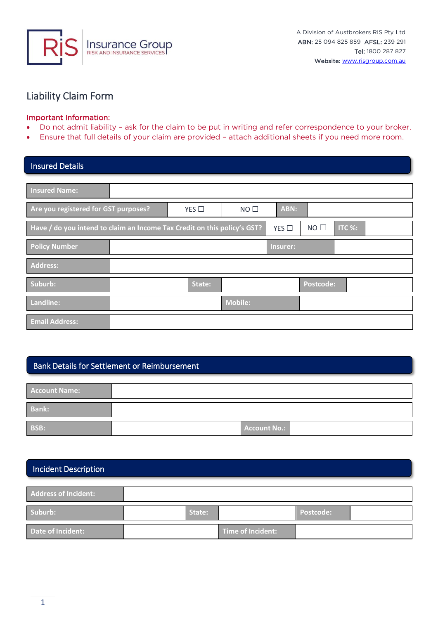

# Liability Claim Form

### Important Information:

- Do not admit liability ask for the claim to be put in writing and refer correspondence to your broker.
- Ensure that full details of your claim are provided attach additional sheets if you need more room.

| <b>Insured Details</b>                                                   |        |                 |            |           |        |  |
|--------------------------------------------------------------------------|--------|-----------------|------------|-----------|--------|--|
|                                                                          |        |                 |            |           |        |  |
| <b>Insured Name:</b>                                                     |        |                 |            |           |        |  |
| Are you registered for GST purposes?                                     | YES    | NO <sub>1</sub> | ABN:       |           |        |  |
| Have / do you intend to claim an Income Tax Credit on this policy's GST? |        |                 | YES $\Box$ | NO        | ITC %: |  |
| <b>Policy Number</b>                                                     |        |                 | Insurer:   |           |        |  |
| Address:                                                                 |        |                 |            |           |        |  |
| Suburb:                                                                  | State: |                 |            | Postcode: |        |  |
| Landline:                                                                |        | <b>Mobile:</b>  |            |           |        |  |
| <b>Email Address:</b>                                                    |        |                 |            |           |        |  |

## Bank Details for Settlement or Reimbursement

| <b>Account Name:</b> |                     |
|----------------------|---------------------|
| <b>Bank:</b>         |                     |
| <b>BSB:</b>          | <b>Account No.:</b> |

### Incident Description

| <b>Address of Incident:</b> |        |                   |           |  |
|-----------------------------|--------|-------------------|-----------|--|
| Suburb:                     | State: |                   | Postcode: |  |
| Date of Incident:           |        | Time of Incident: |           |  |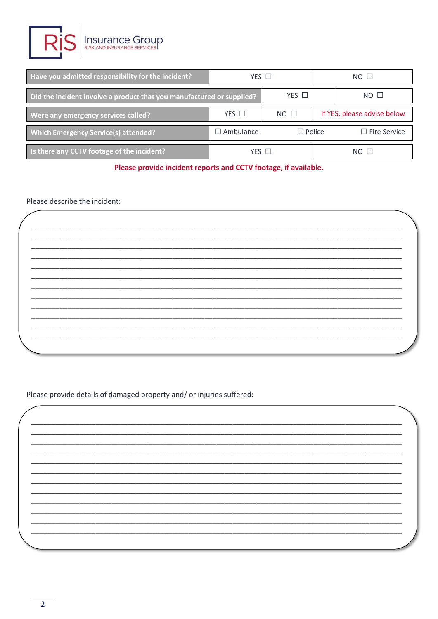

| Have you admitted responsibility for the incident?                    | $YES$ $\square$  |               | $NO$ $\Box$                 |                     |  |
|-----------------------------------------------------------------------|------------------|---------------|-----------------------------|---------------------|--|
| Did the incident involve a product that you manufactured or supplied? | $YES$ $\square$  |               | $NO$ $\Box$                 |                     |  |
| Were any emergency services called?                                   | $NO$ $\Box$      |               | If YES, please advise below |                     |  |
| <b>Which Emergency Service(s) attended?</b>                           | $\Box$ Ambulance | $\Box$ Police |                             | $\Box$ Fire Service |  |
| Is there any CCTV footage of the incident?                            | YFS <sub>I</sub> |               |                             | $NO$ $\Box$         |  |

Please provide incident reports and CCTV footage, if available.

### Please describe the incident:

Please provide details of damaged property and/ or injuries suffered: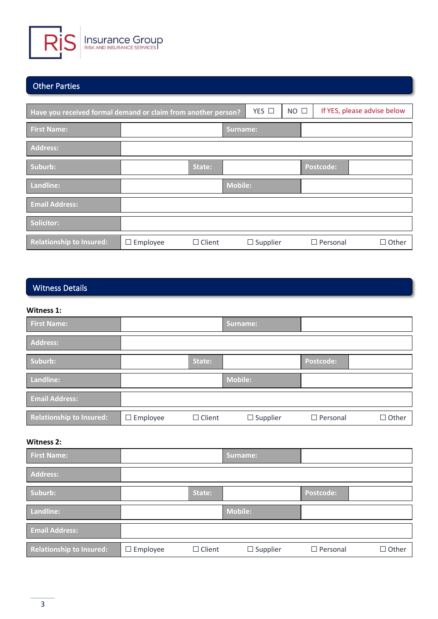

# Other Parties

| Have you received formal demand or claim from another person? |                 |               |                | YES $\square$   | $NO$ $\Box$ |  | If YES, please advise below |              |
|---------------------------------------------------------------|-----------------|---------------|----------------|-----------------|-------------|--|-----------------------------|--------------|
| <b>First Name:</b>                                            |                 |               | Surname:       |                 |             |  |                             |              |
| Address:                                                      |                 |               |                |                 |             |  |                             |              |
| Suburb:                                                       |                 | State:        |                |                 |             |  | Postcode:                   |              |
| Landline:                                                     |                 |               | <b>Mobile:</b> |                 |             |  |                             |              |
| <b>Email Address:</b>                                         |                 |               |                |                 |             |  |                             |              |
| Solicitor:                                                    |                 |               |                |                 |             |  |                             |              |
| Relationship to Insured:                                      | $\Box$ Employee | $\Box$ Client |                | $\Box$ Supplier |             |  | $\Box$ Personal             | $\Box$ Other |

# Witness Details

### **Witness 1:**

| <b>First Name:</b>              |                 |               | Surname:        |                  |              |
|---------------------------------|-----------------|---------------|-----------------|------------------|--------------|
| <b>Address:</b>                 |                 |               |                 |                  |              |
| Suburb:                         |                 | State:        |                 | <b>Postcode:</b> |              |
| Landline:                       |                 |               | <b>Mobile:</b>  |                  |              |
| <b>Email Address:</b>           |                 |               |                 |                  |              |
| <b>Relationship to Insured:</b> | $\Box$ Employee | $\Box$ Client | $\Box$ Supplier | $\Box$ Personal  | $\Box$ Other |

### **Witness 2:**

| <b>First Name:</b>              |                 |               | Surname:        |                 |              |
|---------------------------------|-----------------|---------------|-----------------|-----------------|--------------|
| <b>Address:</b>                 |                 |               |                 |                 |              |
| Suburb:                         |                 | State:        |                 | Postcode:       |              |
| Landline:                       |                 |               | <b>Mobile:</b>  |                 |              |
| <b>Email Address:</b>           |                 |               |                 |                 |              |
| <b>Relationship to Insured:</b> | $\Box$ Employee | $\Box$ Client | $\Box$ Supplier | $\Box$ Personal | $\Box$ Other |